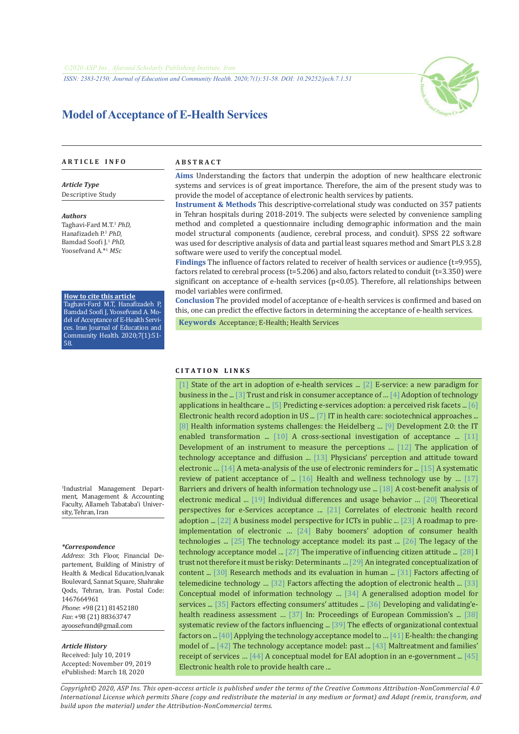*ISSN: 2383-2150; Journal of Education and Community Health. 2020;7(1):51-58. DOI: 10.29252/jech.7.1.51*



# **Model of Acceptance of E-Health Services**

#### **A R T I C L E I N F O A B S T R A C T**

*Article Type* Descriptive Study

*Authors*

Taghavi-Fard M.T.<sup>1</sup> *PhD,*  Hanafizadeh P.<sup>1</sup> *PhD,* Bamdad Soofi J.<sup>1</sup> *PhD,* Yoosefvand A.\*<sup>1</sup> *MSc*

#### **How to cite this article**

Taghavi-Fard M.T, Hanafizadeh P, Bamdad Soofi J, Yoosefvand A. Model of Acceptance of E-Health Services. Iran Journal of Education and Community Health. 2020;7(1):51- 58.

1 Industrial Management Department, Management & Accounting Faculty, Allameh Tabataba'i University, Tehran, Iran

#### *\*Correspondence*

*Address*: 3th Floor, Financial Departement, Building of Ministry of Health & Medical Education,Ivanak Boulevard, Sannat Square, Shahrake Qods, Tehran, Iran. Postal Code: 1467664961 *Phone*: +98 (21) 81452180 *Fax*: +98 (21) 88363747 ayoosefvand@gmail.com

#### *Article History*

Received: July 10, 2019 Accepted: November 09, 2019 ePublished: March 18, 2020

**Aims** Understanding the factors that underpin the adoption of new healthcare electronic systems and services is of great importance. Therefore, the aim of the present study was to provide the model of acceptance of electronic health services by patients.

**Instrument & Methods** This descriptive-correlational study was conducted on 357 patients in Tehran hospitals during 2018-2019. The subjects were selected by convenience sampling method and completed a questionnaire including demographic information and the main model structural components (audience, cerebral process, and conduit). SPSS 22 software was used for descriptive analysis of data and partial least squares method and Smart PLS 3.2.8 software were used to verify the conceptual model.

**Findings** The influence of factors related to receiver of health services or audience (t=9.955), factors related to cerebral process (t=5.206) and also, factors related to conduit (t=3.350) were significant on acceptance of e-health services (p<0.05). Therefore, all relationships between model variables were confirmed.

**Conclusion** The provided model of acceptance of e-health services is confirmed and based on this, one can predict the effective factors in determining the acceptance of e-health services.

 **Keywords** [Acceptance](https://www.ncbi.nlm.nih.gov/mesh/68010342); [E-Health;](https://www.ncbi.nlm.nih.gov/mesh/68057286) [Health Services](https://www.ncbi.nlm.nih.gov/mesh/68006296) 

### **C I T A T I O N L I N K S**

[\[1\]](https://www.sciencedirect.com/science/article/pii/S2212567115003640) State of the art in adoption of e-health services ... [\[2\] E](https://dl.acm.org/doi/10.1145/777313.777336)-service: a new paradigm for business in the ... [\[3\]](https://link.springer.com/article/10.1007/s10660-015-9205-4) Trust and risk in consumer acceptance of … [\[4\]](https://link.springer.com/chapter/10.1007/978-3-642-27210-3_3) Adoption of technology applications in healthcare ... [\[5\]](https://www.sciencedirect.com/science/article/abs/pii/S1071581903001113) Predicting e-services adoption: a perceived risk facets ... [6] Electronic health record adoption in US ... [\[7\]](https://www.ncbi.nlm.nih.gov/pubmed/17466251) IT in health care: sociotechnical approaches ... [\[8\]](https://www.ncbi.nlm.nih.gov/pubmed/12810116) Health information systems challenges: the Heidelberg [… \[9\]](https://bit.ly/390Uq91) Development 2.0: the IT enabled transformation ...  $[10]$  A cross-sectional investigation of acceptance ...  $[11]$ Development of an instrument to measure the perceptions … [\[12\]](https://www.sciencedirect.com/science/article/abs/pii/S2211883713000543) The application of technology acceptance and diffusion ... [\[13\]](https://www.ncbi.nlm.nih.gov/pubmed/24516790) Physicians' perception and attitude toward electronic … [\[14\]](https://www.ncbi.nlm.nih.gov/pubmed/25147178) A meta-analysis of the use of electronic reminders for ... [\[15\]](https://www.ncbi.nlm.nih.gov/pmc/articles/PMC2705259/) A systematic review of patient acceptance of ... [\[16\]](https://www.ncbi.nlm.nih.gov/pubmed/22652979) Health and wellness technology use by … [\[17\]](https://www.ncbi.nlm.nih.gov/pubmed/19408968)  Barriers and drivers of health information technology use ... [\[18\]](https://www.ncbi.nlm.nih.gov/pubmed/12714130) A cost-benefit analysis of electronic medical ... [\[19\]](https://dl.acm.org/doi/10.1145/1066149.1066155) Individual differences and usage behavior … [\[20\]](https://books.google.com/books?id=XYgdrA1CIhgC&pg=PA218&dq) Theoretical perspectives for e-Services acceptance ... [\[21\]](https://www.ncbi.nlm.nih.gov/pubmed/17068351) Correlates of electronic health record adoption ... [\[22\]](https://www.sciencedirect.com/science/article/abs/pii/S0740624X12000160) A business model perspective for ICTs in public ... [\[23\]](https://www.ncbi.nlm.nih.gov/pubmed/24825941) A roadmap to preimplementation of electronic … [\[24\]](https://www.ncbi.nlm.nih.gov/pubmed/25199475) Baby boomers' adoption of consumer health technologies ..[. \[25\]](https://www.ncbi.nlm.nih.gov/pubmed/19615467) The technology acceptance model: its past ... [\[26\]](https://www.researchgate.net/publication/220580454) The legacy of the technology acceptance model ... [\[27\]](https://www.sciencedirect.com/science/article/pii/S0747563215004653) The imperative of influencing citizen attitude ... [\[28\]](https://www.sciencedirect.com/science/article/pii/S0747563211001403) I trust not therefore it must be risky: Determinants … [\[29\]](https://journals.sagepub.com/doi/abs/10.1177/0266666915572926) An integrated conceptualization of content ... [\[30\] R](http://opac.nlai.ir/opac-prod/bibliographic/978624)esearch methods and its evaluation in human ... [\[31\]](http://rjms.iums.ac.ir/article-1-4918-fa.html) Factors affecting of telemedicine technology … [\[32\]](https://www.civilica.com/Paper-TABARESTAN01-TABARESTAN01_029.html) Factors affecting the adoption of electronic health ... [\[33\]](https://ganj-old.irandoc.ac.ir/articles/118973) Conceptual model of information technology … [\[34\]](https://www.sciencedirect.com/science/article/abs/pii/S0740624X15000751) A generalised adoption model for services ... [\[35\]](http://gebrc.nccu.edu.tw/proceedings/APDSI/2007/papers/Final_149.pdf) Factors effecting consumers' attitudes ... [\[36\]](https://books.google.com/books?id=1RQgnQEACAAJ&dq) Developing and validating'e-health readiness assessment ... [\[37\]](https://www.researchgate.net/publication/8013927) In: Proceedings of European Commission's ..[. \[38\]](http://jmciri.ir/article-1-1676-fa.html) systematic review of the factors influencing ... [\[39\]](https://www.ncbi.nlm.nih.gov/pubmed/25445481) The effects of organizational contextual factors on ... [\[40\]](https://www.sciencedirect.com/science/article/pii/S0040162510002714) Applying the technology acceptance model to [… \[41\] E](https://www.ncbi.nlm.nih.gov/pubmed/11184427)-health: the changing model of ... [\[42\]](https://www.researchgate.net/publication/251880003) The technology acceptance model: past ... [\[43\]](https://journals.sagepub.com/doi/10.1606/1044-3894.4215) Maltreatment and families' receipt of services … [\[44\]](https://www.researchgate.net/publication/49402533) A conceptual model for EAI adoption in an e-government ..[. \[45\]](https://www.researchgate.net/profile/Majid_Rezai-Rad/publication/262294375) Electronic health role to provide health care ...

*Copyright© 2020, ASP Ins. This open-access article is published under the terms of the Creative Commons Attribution-NonCommercial 4.0 International License which permits Share (copy and redistribute the material in any medium or format) and Adapt (remix, transform, and build upon the material) under the Attribution-NonCommercial terms.*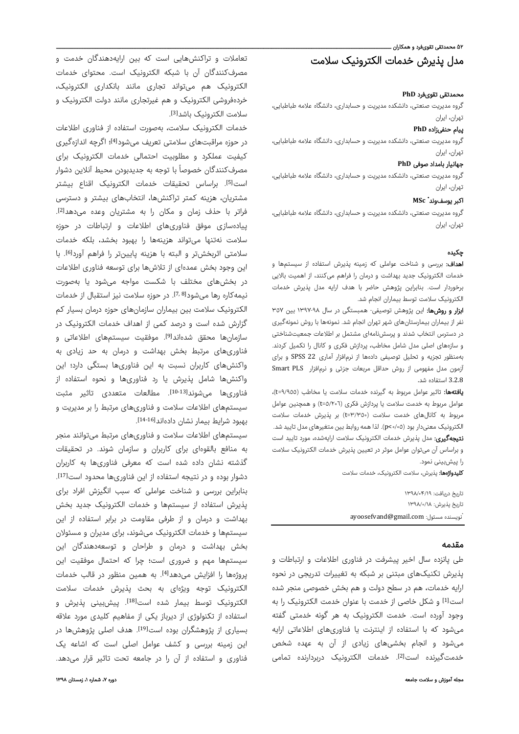# ۵۲ محمدتقی تقویفرد و همکاران ــ مدل پذیرش خدمات الکترونیک سلامت

### محمدتقی تقویفرد **PhD**

گروه مدیریت صنعتی، دانشکده مدیریت و حسابداری، دانشگاه علامه طباطبایی، تهران، ایران

### پیام حنفیزاده **PhD**

گروه مدیریت صنعتی، دانشکده مدیریت و حسابداری، دانشگاه علامه طباطبایی، تهران، ایران

### جهانیار بامداد صوفی **PhD**

گروه مدیریت صنعتی، دانشکده مدیریت و حسابداری، دانشگاه علامه طباطبایی، تهران، ایران

### **MSc** \* اکبر یوسفوند

گروه مدیریت صنعتی، دانشکده مدیریت و حسابداری، دانشگاه علامه طباطبایی، تهران، ایران

### چکيده

اهداف: بررسی و شناخت عواملی که زمینه پذیرش استفاده از سیستمها و خدمات الکترونیک جدید بهداشت و درمان را فراهم میکنند، از اهمیت بالایی برخوردار است. بنابراین پژوهش حاضر با هدف ارایه مدل پذیرش خدمات الکترونیک سلامت توسط بیماران انجام شد.

ابزار و روشها: این پژوهش توصیفی- همبستگی در سال ١٣٩٧-٩٨ بین ٣٥٧ نفر از بیماران بیمارستانهای شهر تهران انجام شد. نمونهها با روش نمونهگیری در دسترس انتخاب شدند و پرسشنامهای مشتمل بر اطلاعات جمعیتشناختی و سازههای اصلی مدل شامل مخاطب، پردازش فکری و کانال را تکمیل کردند. بهمنظور تجزیه و تحلیل توصیفی دادهها از نرمافزار آماری 22 SPSS و برای آزمون مدل مفهومی از روش حداقل مربعات جزئی و نرمافزار PLS Smart 3.2.8 استفاده شد.

**یافتهها:** تاثیر عوامل مربوط به گیرنده خدمات سلامت یا مخاطب (t=٩/٩٥٥)، عوامل مربوط به خدمت سلامت یا پردازش فکری (٥/٢٠٦=t (و همچنین عوامل مربوط به کانالهای خدمت سلامت (٣/٣٥٠=t (بر پذیرش خدمات سلامت الکترونیک معنیدار بود (٠/٠٥>p(. لذا همهروابط بین متغیرهای مدل تایید شد. **نتیجهگیری:** مدل پذیرش خدمات الکترونیک سلامت ارایهشده، مورد تایید است و براساس آن میتوان عوامل موثر در تعیین پذیرش خدمات الکترونیک سلامت را پیشبینی نمود.

کلیدواژهها: پذیرش، سلامت الکترونیک، خدمات سلامت

تاريخ دريافت: ۱۳۹۸/۰۴/۱۹ تاريخ پذيرش: ۱۳۹۸/۰/۱۸ \* ayoosefvand@gmail.com :مسئول نويسنده

### مقدمه

طی پانزده سال اخیر پیشرفت در فناوری اطلاعات و ارتباطات و پذیرش تکنیکهای مبتنی بر شبکه به تغییرات تدریجی در نحوه ارایه خدمات، هم در سطح دولت و هم بخش خصوصی منجر شده است<sup>[1]</sup> و شکل خاصی از خدمت با عنوان خدمت الکترونیک را به وجود آورده است. خدمت الکترونیک به هر گونه خدمتی گفته میشود که با استفاده از اینترنت یا فناوریهای اطلاعاتی ارایه میشود و انجام بخشیهای زیادی از آن به عهده شخص خدمتگیرنده است[2]. خدمات الکترونیک دربردارنده تمامی

تعاملات و تراکنشهایی است که بین ارایهدهندگان خدمت و مصرفکنندگان آن با شبکه الکترونیک است. محتوای خدمات الکترونیک هم میتواند تجاری مانند بانکداری الکترونیک، خردهفروشی الکترونیک و هم غیرتجاری مانند دولت الکترونیک و سلامت الکترونیک باشد[3].

خدمات الکترونیک سلامت، بهصورت استفاده از فناوری اطلاعات در حوزه مراقبتهای سلامتی تعریف میشود<sup>[4]</sup>؛ اگرچه اندازهگیری کیفیت عملکرد و مطلوبیت احتمالی خدمات الکترونیک برای مصرفکنندگان خصوصاً با توجه به جدیدبودن محیط آنلاین دشوار است<sup>[5]</sup>. براساس تحقیقات خدمات الکترونیک اقناع بیشتر مشتریان، هزینه کمتر تراکنشها، انتخابهای بیشتر و دسترسی . [2] فراتر با حذف زمان و مکان را به مشتریان وعده میدهد پیادهسازی موفق فناوریهای اطلاعات و ارتباطات در حوزه سلامت نهتنها میتواند هزینهها را بهبود بخشد، بلکه خدمات سلامتی اثربخشتر و البته با هزینه پایینتر را فراهم آورد[6]. با این وجود بخش عمدهای از تلاشها برای توسعه فناوری اطلاعات در بخشهای مختلف با شکست مواجه میشود یا بهصورت نیمهکاره رها میشود<sup>[7,8]</sup>. در حوزه سلامت نیز استقبال از خدمات الکترونیک سلامت بین بیماران سازمانهای حوزه درمان بسیار کم گزارش شده است و درصد کمی از اهداف خدمات الکترونیک در سازمانها محقق شدهاند<sup>[9]</sup>. موفقیت سیستمهای اطلاعاتی و فناوریهای مرتبط بخش بهداشت و درمان به حد زیادی به واکنشهای کاربران نسبت به این فناوریها بستگی دارد؛ این واکنشها شامل پذیرش یا رد فناوریها و نحوه استفاده از فناوریها میشوند<sup>[10-13]</sup>. مطالعات متعددی تاثیر مثبت سیستمهای اطلاعات سلامت و فناوریهای مرتبط را بر مدیریت و بهبود شرایط بیمار نشان دادهاند<sup>[14-16]</sup>.

سیستمهای اطلاعات سلامت و فناوریهای مرتبط میتوانند منجر به منافع بالقوهای برای کاربران و سازمان شوند. در تحقیقات گذشته نشان داده شده است که معرفی فناوریها به کاربران . [17] دشوار بوده و در نتیجه استفاده از این فناوریها محدود است بنابراین بررسی و شناخت عواملی که سبب انگیزش افراد برای پذیرش استفاده از سیستمها و خدمات الکترونیک جدید بخش بهداشت و درمان و از طرفی مقاومت در برابر استفاده از این سیستمها و خدمات الکترونیک میشوند، برای مدیران و مسئولان بخش بهداشت و درمان و طراحان و توسعهدهندگان این سیستمها مهم و ضروری است؛ چرا که احتمال موفقیت این یروژهها را افزایش میدهد<sup>[4]</sup>. به همین منظور در قالب خدمات الکترونیک توجه ویژهای به بحث پذیرش خدمات سلامت الکترونیک توسط بیمار شده است<sup>[18]</sup>. پیشبینی پذیرش و استفاده از تکنولوژی از دیرباز یکی از مفاهیم کلیدی مورد علاقه بسیاری از پژوهشگران بوده است<sup>[19]</sup>. هدف اصلی پژوهشها در این زمینه بررسی و کشف عوامل اصلی است که اشاعه یک فناوری و استفاده از آن را در جامعه تحت تاثیر قرار میدهد.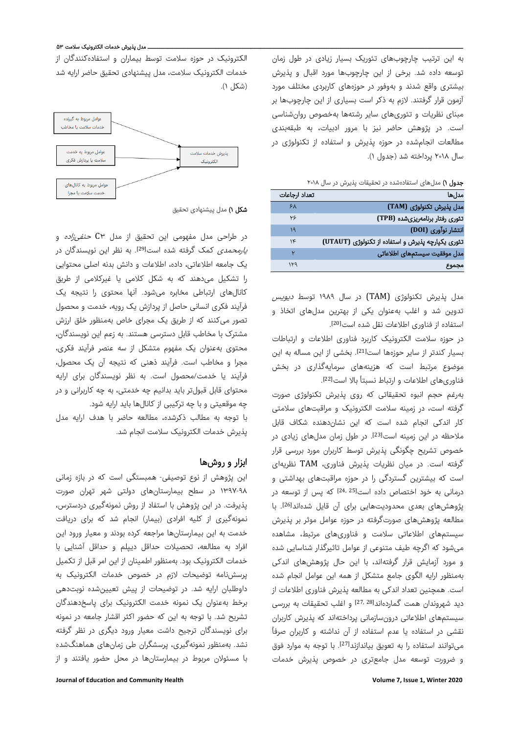به این ترتیب چارچوبهای تئوریک بسیار زیادی در طول زمان توسعه داده شد. برخی از این چارچوبها مورد اقبال و پذیرش بیشتری واقع شدند و بهوفور در حوزههای کاربردی مختلف مورد آزمون قرار گرفتند. لازم به ذکر است بسیاری از این چارچوبها بر مبنای نظریات و تئوریهای سایر رشتهها بهخصوص روانشناسی است. در پژوهش حاضر نیز با مرور ادبیات، به طبقهبندی مطالعات انجامشده در حوزه پذیرش و استفاده از تکنولوژی در سال ٢٠١٨ پرداخته شد (جدول ١).

|  |  |  | <b>جدول ۱)</b> مدلهای استفادهشده در تحقیقات پذیرش در سال ۲۰۱۸ |
|--|--|--|---------------------------------------------------------------|
|--|--|--|---------------------------------------------------------------|

| تعداد ارجاعات | مدلها                                             |
|---------------|---------------------------------------------------|
| ۶۸            | مدل پذیرش تکنولوژی (TAM)                          |
| ٢۶            | تئوری رفتار برنامەریزیشده (TPB)                   |
| ١٩            | انتشار نوآوری (DOI)                               |
| ۱۴            | تئوری یکپارچه پذیرش و استفاده از تکنولوژی (UTAUT) |
|               | مدل موفقيت سيستمهاى اطلاعاتى                      |
| ۱۳۹           | مجموع                                             |

مدل پذیرش تکنولوژی (TAM) در سال ۱۹۸۹ توسط *دیویس* تدوین شد و اغلب بهعنوان یکی از بهترین مدلهای اتخاذ و [20] استفاده از فناوری اطلاعات نقل شده است .

در حوزه سلامت الکترونیک کاربرد فناوری اطلاعات و ارتباطات بسیار کندتر از سایر حوزهها است<sup>[21]</sup>. بخشی از این مساله به این موضوع مرتبط است که هزینههای سرمایهگذاری در بخش فناوریهای اطلاعات و ارتباط نسبتاً بالا است[22].

بهرغم حجم انبوه تحقیقاتی که روی پذیرش تکنولوژی صورت گرفته است، در زمینه سلامت الکترونیک و مراقبتهای سلامتی کار اندکی انجام شده است که این نشاندهنده شکاف قابل ملاحظه در این زمینه است<sup>[23]</sup>. در طول زمان مدلهای زیادی در خصوص تشریح چگونگی پذیرش توسط کاربران مورد بررسی قرار گرفته است. در میان نظریات پذیرش فناوری، TAM نظریهای است که بیشترین گستردگی را در حوزه مراقبتهای بهداشتی و درمانی به خود اختصاص داده است[24, 25] که پس از توسعه در یژوهشهای بعدی محدودیتهایی برای آن قایل شدهاند<sup>[26]</sup>. با مطالعه پژوهشهای صورتگرفته در حوزه عوامل موثر بر پذیرش سیستمهای اطلاعاتی سلامت و فناوریهای مرتبط، مشاهده میشود که اگرچه طیف متنوعی از عوامل تاثیرگذار شناسایی شده و مورد آزمایش قرار گرفتهاند، با این حال پژوهشهای اندکی بهمنظور ارایه الگوی جامع متشکل از همه این عوامل انجام شده است. همچنین تعداد اندکی به مطالعه پذیرش فناوری اطلاعات از دید شهروندان همت گماردهاند<sup>[27, 28]</sup> و اغلب تحقیقات به بررسی سیستمهای اطلاعاتی درونسازمانی پرداختهاند که پذیرش کاربران ً نقشی در استفاده یا عدم استفاده از آن نداشته و کاربران صرفا می توانند استفاده را به تعویق بیاندازند<sup>[27]</sup>. با توجه به موارد فوق و ضرورت توسعه مدل جامعتری در خصوص پذیرش خدمات

الکترونیک در حوزه سلامت توسط بیماران و استفادهکنندگان از خدمات الکترونیک سلامت، مدل پیشنهادی تحقیق حاضر ارایه شد (شکل ١).



**شکل ۱)** مدل پیشنهادی تحقیق

در طراحی مدل مفهومی این تحقیق از مدل ٣C حنفیزاده و *یارمحمدی* کمک گرفته شده است<sup>[29]</sup>. به نظر این نویسندگان در یک جامعه اطلاعاتی، داده، اطلاعات و دانش بدنه اصلی محتوایی را تشکیل میدهند که به شکل کلامی یا غیرکلامی از طریق کانالهای ارتباطی مخابره میشود. آنها محتوی را نتیجه یک فرآیند فکری انسانی حاصل از پردازش یک رویه، خدمت و محصول تصور میکنند که از طریق یک مجرای خاص بهمنظور خلق ارزش مشترک با مخاطب قابل دسترسی هستند. به زعم این نویسندگان، محتوی بهعنوان یک مفهوم متشکل از سه عنصر فرآیند فکری، مجرا و مخاطب است. فرآیند ذهنی که نتیجه آن یک محصول، فرآیند یا خدمت/محصول است. به نظر نویسندگان برای ارایه محتوای قابل قبولتر باید بدانیم چه خدمتی، به چه کاربرانی و در چه موقعیتی و با چه ترکیبی از کانالها باید ارایه شود.

با توجه به مطالب ذکرشده، مطالعه حاضر با هدف ارایه مدل پذیرش خدمات الکترونیک سلامت انجام شد.

# ابزار و روشها

این پژوهش از نوع توصیفی- همبستگی است که در بازه زمانی ١٣٩٧-٩٨ در سطح بیمارستانهای دولتی شهر تهران صورت پذیرفت. در این پژوهش با استفاد از روش نمونهگیری دردسترس، نمونهگیری از کلیه افرادی (بیمار) انجام شد که برای دریافت خدمت به این بیمارستانها مراجعه کرده بودند و معیار ورود این افراد به مطالعه، تحصیلات حداقل دیپلم و حداقل آشنایی با خدمات الکترونیک بود. بهمنظور اطمینان از این امر قبل از تکمیل پرسشنامه توضیحات لازم در خصوص خدمات الکترونیک به داوطلبان ارایه شد. در توضیحات از پیش تعیینشده نوبتدهی برخط بهعنوان یک نمونه خدمت الکترونیک برای پاسخدهندگان تشریح شد. با توجه به این که حضور اکثر اقشار جامعه در نمونه برای نویسندگان ترجیح داشت معیار ورود دیگری در نظر گرفته نشد. بهمنظور نمونهگیری، پرسشگران طی زمانهای هماهنگشده با مسئولان مربوط در بیمارستانها در محل حضور یافتند و از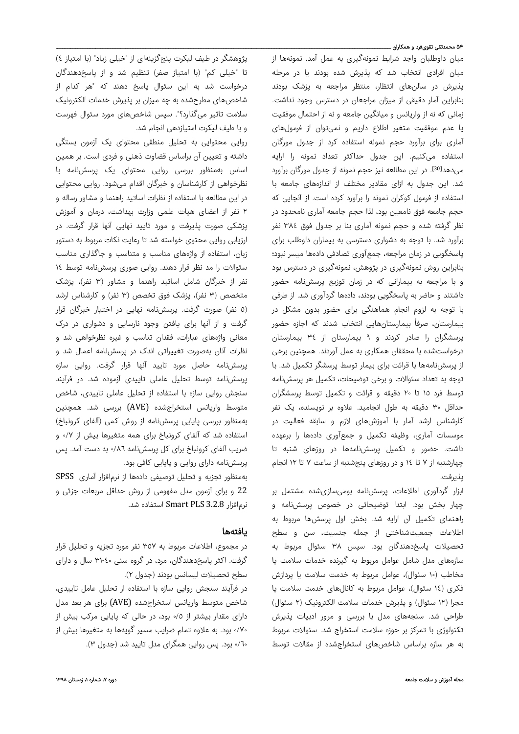### ۵۴ محمدتقی تقویفرد و همکاران ـــــ

میان داوطلبان واجد شرایط نمونهگیری به عمل آمد. نمونهها از میان افرادی انتخاب شد که پذیرش شده بودند یا در مرحله پذیرش در سالنهای انتظار، منتظر مراجعه به پزشک بودند بنابراین آمار دقیقی از میزان مراجعان در دسترس وجود نداشت. زمانی که نه از واریانس و میانگین جامعه و نه از احتمال موفقیت یا عدم موفقیت متغیر اطلاع داریم و نمیتوان از فرمولهای آماری برای برآورد حجم نمونه استفاده کرد از جدول مورگان استفاده میکنیم. این جدول حداکثر تعداد نمونه را ارایه میدهد<sup>[30]</sup>. در این مطالعه نیز حجم نمونه از جدول مورگان برآورد شد. این جدول به ازای مقادیر مختلف از اندازههای جامعه با استفاده از فرمول کوکران نمونه را برآورد کرده است. از آنجایی که حجم جامعه فوق نامعین بود، لذا حجم جامعه آماری نامحدود در نظر گرفته شده و حجم نمونه آماری بنا بر جدول فوق ٣٨٤ نفر برآورد شد. با توجه به دشواری دسترسی به بیماران داوطلب برای پاسخگویی در زمان مراجعه، جمعآوری تصادفی دادهها میسر نبود؛ بنابراین روش نمونهگیری در پژوهش، نمونهگیری در دسترس بود و با مراجعه به بیمارانی که در زمان توزیع پرسشنامه حضور داشتند و حاضر به پاسخگویی بودند، دادهها گردآوری شد. از طرفی با توجه به لزوم انجام هماهنگی برای حضور بدون مشکل در بیمارستان، صرفاً بیمارستانهایی انتخاب شدند که اجازه حضور پرسشگران را صادر کردند و ٩ بیمارستان از ٣٤ بیمارستان درخواستشده با محققان همکاری به عمل آوردند. همچنین برخی از پرسشنامهها با قرائت برای بیمار توسط پرسشگر تکمیل شد. با توجه به تعداد سئوالات و برخی توضیحات، تکمیل هر پرسشنامه توسط فرد ١٥ تا ٢٠ دقیقه و قرائت و تکمیل توسط پرسشگران حداقل ٣٠ دقیقه به طول انجامید. علاوه بر نویسنده، یک نفر کارشناس ارشد آمار با آموزشهای لازم و سابقه فعالیت در موسسات آماری، وظیفه تکمیل و جمعآوری دادهها را برعهده داشت. حضور و تکمیل پرسشنامهها در روزهای شنبه تا چهارشنبه از ٧ تا ١٤ و در روزهای پنجشنبه از ساعت ٧ تا ١٢ انجام پذیرفت.

ابزار گردآوری اطلاعات، پرسشنامه بومیسازیشده مشتمل بر چهار بخش بود. ابتدا توضیحاتی در خصوص پرسشنامه و راهنمای تکمیل آن ارایه شد. بخش اول پرسشها مربوط به اطلاعات جمعیتشناختی از جمله جنسیت، سن و سطح تحصیلات پاسخدهندگان بود. سپس ٣٨ سئوال مربوط به سازههای مدل شامل عوامل مربوط به گیرنده خدمات سلامت یا مخاطب (١٠ سئوال)، عوامل مربوط به خدمت سلامت یا پردازش فکری (١٤ سئوال)، عوامل مربوط به کانالهای خدمت سلامت یا مجرا (١٢ سئوال) و پذیرش خدمات سلامت الکترونیک (٢ سئوال) طراحی شد. سنجههای مدل با بررسی و مرور ادبیات پذیرش تکنولوژی با تمرکز بر حوزه سلامت استخراج شد. سئوالات مربوط به هر سازه براساس شاخصهای استخراجشده از مقالات توسط

پژوهشگر در طیف لیکرت پنجگزینهای از "خیلی زیاد" (با امتیاز ٤) تا "خیلی کم" (با امتیاز صفر) تنظیم شد و از پاسخدهندگان درخواست شد به این سئوال پاسخ دهند که "هر کدام از شاخصهای مطرحشده به چه میزان بر پذیرش خدمات الکترونیک سلامت تاثیر میگذارد؟". سپس شاخصهای مورد سئوال فهرست و با طیف لیکرت امتیازدهی انجام شد.

روایی محتوایی به تحلیل منطقی محتوای یک آزمون بستگی داشته و تعیین آن براساس قضاوت ذهنی و فردی است. بر همین اساس بهمنظور بررسی روایی محتوای یک پرسشنامه با نظرخواهی از کارشناسان و خبرگان اقدام میشود. روایی محتوایی در این مطالعه با استفاده از نظرات اساتید راهنما و مشاور رساله و ٢ نفر از اعضای هیات علمی وزارت بهداشت، درمان و آموزش پزشکی صورت پذیرفت و مورد تایید نهایی آنها قرار گرفت. در ارزیابی روایی محتوی خواسته شد تا رعایت نکات مربوط به دستور زبان، استفاده از واژههای مناسب و متناسب و جاگذاری مناسب سئوالات را مد نظر قرار دهند. روایی صوری پرسشنامه توسط ١٤ نفر از خبرگان شامل اساتید راهنما و مشاور (٣ نفر)، پزشک متخصص (٣ نفر)، پزشک فوق تخصص (٣ نفر) و کارشناس ارشد (٥ نفر) صورت گرفت. پرسشنامه نهایی در اختیار خبرگان قرار گرفت و از آنها برای یافتن وجود نارسایی و دشواری در درک معانی واژههای عبارات، فقدان تناسب و غیره نظرخواهی شد و نظرات آنان بهصورت تغییراتی اندک در پرسشنامه اعمال شد و پرسشنامه حاصل مورد تایید آنها قرار گرفت. روایی سازه پرسشنامه توسط تحلیل عاملی تاییدی آزموده شد. در فرآیند سنجش روایی سازه با استفاده از تحلیل عاملی تاییدی، شاخص متوسط واریانس استخراجشده (AVE (بررسی شد. همچنین بهمنظور بررسی پایایی پرسشنامه از روش کمی (آلفای کرونباخ) استفاده شد که آلفای کرونباخ برای همه متغیرها بیش از ٠/٧ و ضریب آلفای کرونباخ برای کل پرسشنامه ٠/٨٦ به دست آمد. پس پرسشنامه دارای روایی و پایایی کافی بود.

بهمنظور تجزیه و تحلیل توصیفی دادهها از نرمافزار آماری SPSS 22 و برای آزمون مدل مفهومی از روش حداقل مربعات جزئی و نرمافزار 3.2.8 PLS Smart استفاده شد.

### یافتهها

در مجموع، اطلاعات مربوط به ٣٥٧ نفر مورد تجزیه و تحلیل قرار گرفت. اکثر پاسخدهندگان، مرد، در گروه سنی ٣١-٤٠ سال و دارای سطح تحصیلات لیسانس بودند (جدول ٢).

در فرآیند سنجش روایی سازه با استفاده از تحلیل عامل تاییدی، شاخص متوسط واریانس استخراجشده (AVE (برای هر بعد مدل دارای مقدار بیشتر از ٠/٥ بود، در حالی که پایایی مرکب بیش از ٠/٧٠ بود. به علاوه تمام ضرایب مسیر گویهها به متغیرها بیش از ٠/٦٠ بود. پس روایی همگرای مدل تایید شد (جدول ٣).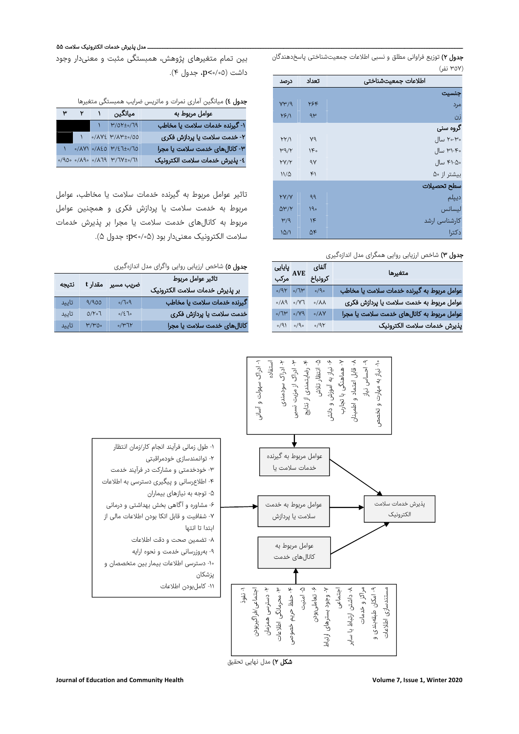جدول ٢) توزیع فراوانی مطلق و نسبی اطلاعات جمعیتشناختی پاسخدهندگان (٣٥٧ نفر)

| درصد         | تعداد  | اطلاعات جمعيتشناختى |
|--------------|--------|---------------------|
|              |        | جنسيت               |
| $Y^{\mu}/9$  | ۲۶۴    | مرد                 |
| Y5/1         | ۹۳     | زن                  |
|              |        | گروه سنی            |
| YY/1         | v٩     | ۲۰-۳۰ سال           |
| $\mu$ 9/۲    | $1F_0$ | ۳۱-۴۰ سال           |
| YY/Y         | 9V     | ۴۱-۵۰ سال           |
| $11/\Delta$  | ۴۱     | بیشتر از ۵۰         |
|              |        | سطح تحصيلات         |
| YY/Y         | 99     | ديپلم               |
| $\Delta V/Y$ | 190    | ليسانس              |
| $\mu/q$      | $\eta$ | کارشناسی ارشد       |
| 10/1         | ۵۴     | دكترا               |

## جدول ٣) شاخص ارزیابی روایی همگرای مدل اندازهگیری

| متغيرها                                    | آلفای              | پایایی<br>مرکب                                                          |
|--------------------------------------------|--------------------|-------------------------------------------------------------------------|
|                                            | كرونباخ            |                                                                         |
| عوامل مربوط به گیرنده خدمات سلامت یا مخاطب | 0/9                | $\gamma$ 7/0 $\gamma$                                                   |
| عوامل مربوط به خدمت سلامت یا پردازش فکری   | $0/\lambda\lambda$ | $\Gamma \mathsf{Y} \backslash \circ$ $\rho \mathsf{A} \backslash \circ$ |
| عوامل مربوط به كانالهاى خدمت سلامت يا مجرا | $0/\lambda V$      | $PY\backslash\circ$ $Y\uparrow\vee\circ$                                |
| پذيرش خدمات سلامت الكترونيک                | 0/9Y               | $\circ \rho \backslash \circ$ ( $\rho \backslash \circ$                 |

# ـــ مدل پذیرش خدمات الکترونیک سلامت ۵۵

بین تمام متغیرهای پژوهش، همبستگی مثبت و معنیدار وجود داشت (٠/٠٥>p، جدول ۴).

# جدول ٤) میانگین آماری نمرات و ماتریس ضرایب همبستگی متغیرها

| عوامل مربوط به                 | میانگین                                                                                                                                                                 |  | ۳ |
|--------------------------------|-------------------------------------------------------------------------------------------------------------------------------------------------------------------------|--|---|
| ١- گيرنده خدمات سلامت يا مخاطب | $N = \frac{\mu}{\sigma} \frac{1}{\sigma}$                                                                                                                               |  |   |
| ۲- خدمت سلامت یا پردازش فکری   | •/ΛΥ εγ/ΛΨ±•/00                                                                                                                                                         |  |   |
| ٣- كانالهاي خدمت سلامت يا مجرا | $0/14$ /120 1/27± $0/10$                                                                                                                                                |  |   |
| ٤- پذيرش خدمات سلامت الكترونيک | $\frac{1}{\sqrt{2}}$ $\frac{1}{\sqrt{2}}$ $\frac{1}{\sqrt{2}}$ $\frac{1}{\sqrt{2}}$ $\frac{1}{\sqrt{2}}$ $\frac{1}{\sqrt{2}}$ $\frac{1}{\sqrt{2}}$ $\frac{1}{\sqrt{2}}$ |  |   |

تاثیر عوامل مربوط به گیرنده خدمات سلامت یا مخاطب، عوامل مربوط به خدمت سلامت یا پردازش فکری و همچنین عوامل مربوط به کانالهای خدمت سلامت یا مجرا بر پذیرش خدمات سلامت الکترونیک معنیدار بود (۰/۰۵>p؛ جدول ۵).

# جدول ٥) شاخص ارزیابی روایی واگرای مدل اندازهگیری

| تاثير عوامل مربوط              | ضریب مسیر مقدار t            |                    | نتيجه |
|--------------------------------|------------------------------|--------------------|-------|
| بر پذیرش خدمات سلامت الکترونیک |                              |                    |       |
| گیرنده خدمات سلامت یا مخاطب    | $\rho_o \Gamma \backslash o$ | 9/900              | تاييد |
| خدمت سلامت یا پردازش فکری      | 0/270                        | 0/Y <sub>0</sub> T | تاييد |
| کانالهای خدمت سلامت یا مجرا    | 0/47                         | M/W00              | تاييد |



**شکل ۲)** مدل نهایی تحقیق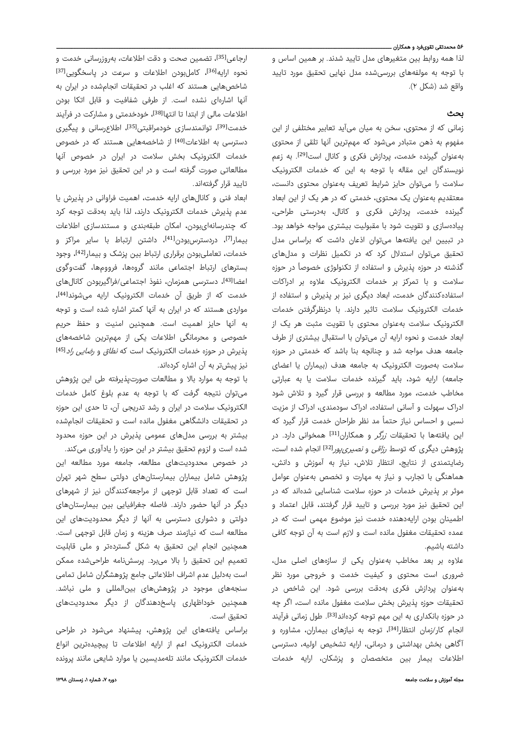### ۵۶ محمدتقی تقویفرد و همکاران ـــ

لذا همه روابط بین متغیرهای مدل تایید شدند. بر همین اساس و با توجه به مولفههای بررسیشده مدل نهایی تحقیق مورد تایید واقع شد (شکل ۲).

### بحث

زمانی که از محتوی، سخن به میان میآید تعابیر مختلفی از این مفهوم به ذهن متبادر میشود که مهمترین آنها تلقی از محتوی به عنوان گیرنده خدمت، پردازش فکری و کانال است<sup>[29]</sup>. به زعم نویسندگان این مقاله با توجه به این که خدمات الکترونیک سلامت را میتوان حایز شرایط تعریف بهعنوان محتوی دانست، معتقدیم بهعنوان یک محتوی، خدمتی که در هر یک از این ابعاد گیرنده خدمت، پردازش فکری و کانال، بهدرستی طراحی، پیادهسازی و تقویت شود با مقبولیت بیشتری مواجه خواهد بود. در تبیین این یافتهها میتوان اذعان داشت که براساس مدل تحقیق میتوان استدلال کرد که در تکمیل نظرات و مدلهای گذشته در حوزه پذیرش و استفاده از تکنولوژی خصوصاً در حوزه سلامت و با تمرکز بر خدمات الکترونیک علاوه بر ادراکات استفادهکنندگان خدمت، ابعاد دیگری نیز بر پذیرش و استفاده از خدمات الکترونیک سلامت تاثیر دارند. با درنظرگرفتن خدمات الکترونیک سلامت بهعنوان محتوی با تقویت مثبت هر یک از ابعاد خدمت و نحوه ارایه آن میتوان با استقبال بیشتری از طرف جامعه هدف مواجه شد و چنانچه بنا باشد که خدمتی در حوزه سلامت بهصورت الکترونیک به جامعه هدف (بیماران یا اعضای جامعه) ارایه شود، باید گیرنده خدمات سلامت یا به عبارتی مخاطب خدمت، مورد مطالعه و بررسی قرار گیرد و تلاش شود ادراک سهولت و آسانی استفاده، ادراک سودمندی، ادراک از مزیت نسبی و احساس نیاز حتماً مد نظر طراحان خدمت قرار گیرد که این یافتهها با تحقیقات *زرگر* و همکاران<sup>[31]</sup> همخوانی دارد. در یژوهش دیگری که توسط *رزاقی و نصیری یور*<sup>[32]</sup> انجام شده است، رضایتمندی از نتایج، انتظار تلاش، نیاز به آموزش و دانش، هماهنگی با تجارب و نیاز به مهارت و تخصص بهعنوان عوامل موثر بر پذیرش خدمات در حوزه سلامت شناسایی شدهاند که در این تحقیق نیز مورد بررسی و تایید قرار گرفتند، قابل اعتماد و اطمینان بودن ارایهدهنده خدمت نیز موضوع مهمی است که در عمده تحقیقات مغفول مانده است و لازم است به آن توجه کافی داشته باشیم.

علاوه بر بعد مخاطب بهعنوان یکی از سازههای اصلی مدل، ضروری است محتوی و کیفیت خدمت و خروجی مورد نظر بهعنوان پردازش فکری بهدقت بررسی شود. این شاخص در تحقیقات حوزه پذیرش بخش سلامت مغفول مانده است، اگر چه در حوزه بانکداری به این مهم توجه کردهاند<sup>[33]</sup>. طول زمانی فرآیند انجام کار/زمان انتظار<sup>[34]</sup>، توجه به نیازهای بیماران، مشاوره و آگاهی بخش بهداشتی و درمانی، ارایه تشخیص اولیه، دسترسی اطلاعات بیمار بین متخصصان و پزشکان، ارایه خدمات

ارجاعی<sup>[35]</sup>، تضمین صحت و دقت اطلاعات، بهروزرسانی خدمت و نحوه ارایه<sup>[36]</sup>، کاملبودن اطلاعات و سرعت در پاسخگویی<sup>[37]</sup> شاخصهایی هستند که اغلب در تحقیقات انجامشده در ایران به آنها اشارهای نشده است. از طرفی شفافیت و قابل اتکا بودن اطلاعات مالی از ابتدا تا انتها<sup>38]</sup>، خودخدمتی و مشارکت در فرآیند خدمت[39]، توانمندسازی خودمراقبتی[35]، اطلاعرسانی و پیگیری دسترسی به اطلاعات<sup>[40]</sup> از شاخصههایی هستند که در خصوص خدمات الکترونیک بخش سلامت در ایران در خصوص آنها مطالعاتی صورت گرفته است و در این تحقیق نیز مورد بررسی و تایید قرار گرفتهاند.

ابعاد فنی و کانالهای ارایه خدمت، اهمیت فراوانی در پذیرش یا عدم پذیرش خدمات الکترونیک دارند، لذا باید بهدقت توجه کرد که چندرسانهایبودن، امکان طبقهبندی و مستندسازی اطلاعات بیمار<sup>71</sup>)، دردسترسبودن<sup>[41]</sup>، داشتن ارتباط با سایر مراکز و خدمات، تعاملیبودن برقراری ارتباط بین پزشک و بیمار[42]، وجود بسترهای ارتباط اجتماعی مانند گروهها، فروومها، گفتوگوی اعضا<sup>[43]</sup>، دسترسی همزمان، نفوذ اجتماعی/فراگیربودن کانالهای ، خدمت که از طریق آن خدمات الکترونیک ارایه میشوند[44] مواردی هستند که در ایران به آنها کمتر اشاره شده است و توجه به آنها حایز اهمیت است. همچنین امنیت و حفظ حریم خصوصی و محرمانگی اطلاعات یکی از مهمترین شاخصههای پذیرش در حوزه خدمات الکترونیک است که *نطاق* و *رضایی راد*<sup>[45]</sup> نیز پیشتر به آن اشاره کردهاند.

با توجه به موارد بالا و مطالعات صورتپذیرفته طی این پژوهش میتوان نتیجه گرفت که با توجه به عدم بلوغ کامل خدمات الکترونیک سلامت در ایران و رشد تدریجی آن، تا حدی این حوزه در تحقیقات دانشگاهی مغفول مانده است و تحقیقات انجامشده بیشتر به بررسی مدلهای عمومی پذیرش در این حوزه محدود شده است و لزوم تحقیق بیشتر در این حوزه را یادآوری میکند.

در خصوص محدوديتهای مطالعه، جامعه مورد مطالعه این پژوهش شامل بیماران بیمارستانهای دولتی سطح شهر تهران است که تعداد قابل توجهی از مراجعهکنندگان نیز از شهرهای دیگر در آنها حضور دارند. فاصله جغرافیایی بین بیمارستانهای دولتی و دشواری دسترسی به آنها از دیگر محدودیتهای این مطالعه است که نیازمند صرف هزینه و زمان قابل توجهی است. همچنین انجام این تحقیق به شکل گستردهتر و ملی قابلیت تعمیم این تحقیق را بالا میبرد. پرسشنامه طراحیشده ممکن است بهدلیل عدم اشراف اطلاعاتی جامع پژوهشگران شامل تمامی سنجههای موجود در پژوهشهای بینالمللی و ملی نباشد. همچنین خوداظهاری پاسخدهندگان از دیگر محدودیتهای تحقیق است.

براساس یافتههای این پژوهش، پیشنهاد میشود در طراحی خدمات الکترونیک اعم از ارایه اطلاعات تا پیچیدهترین انواع خدمات الکترونیک مانند تلهمدیسین یا موارد شایعی مانند پرونده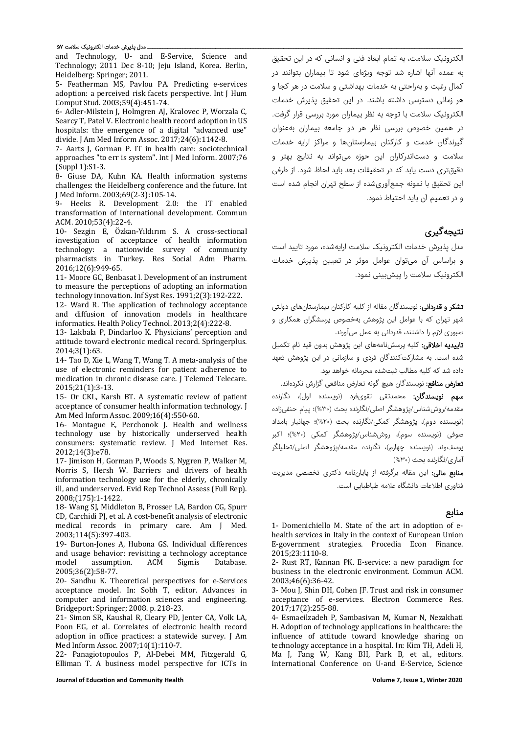#### ــ مدل پذیرش خدمات الکترونیک سلامت ۵۷

and Technology, U- and E-Service, Science and Technology; 2011 Dec 8-10; Jeju Island, Korea. Berlin, Heidelberg: Springer; 2011.

5- Featherman MS, Pavlou PA. Predicting e-services adoption: a perceived risk facets perspective. Int J Hum Comput Stud. 2003;59(4):451-74.

6- Adler-Milstein J, Holmgren AJ, Kralovec P, Worzala C, Searcy T, Patel V. Electronic health record adoption in US hospitals: the emergence of a digital "advanced use" divide. J Am Med Inform Assoc. 2017;24(6):1142-8.

7- Aarts J, Gorman P. IT in health care: sociotechnical approaches "to err is system". Int J Med Inform. 2007;76 (Suppl 1):S1-3.

8- Giuse DA, Kuhn KA. Health information systems challenges: the Heidelberg conference and the future. Int J Med Inform. 2003;69(2-3):105-14.

9- Heeks R. Development 2.0: the IT enabled transformation of international development. Commun ACM. 2010;53(4):22-4.

10- Sezgin E, Özkan-Yıldırım S. A cross-sectional investigation of acceptance of health information technology: a nationwide survey of community pharmacists in Turkey. Res Social Adm Pharm. 2016;12(6):949-65.

11- Moore GC, Benbasat I. Development of an instrument to measure the perceptions of adopting an information technology innovation. Inf Syst Res. 1991;2(3):192-222.

12- Ward R. The application of technology acceptance and diffusion of innovation models in healthcare informatics. Health Policy Technol. 2013;2(4):222-8.

13- Lakbala P, Dindarloo K. Physicians' perception and attitude toward electronic medical record. Springerplus. 2014;3(1):63.

14- Tao D, Xie L, Wang T, Wang T. A meta-analysis of the use of electronic reminders for patient adherence to medication in chronic disease care. J Telemed Telecare. 2015;21(1):3-13.

15- Or CKL, Karsh BT. A systematic review of patient acceptance of consumer health information technology. J Am Med Inform Assoc. 2009;16(4):550-60.

16- Montague E, Perchonok J. Health and wellness technology use by historically underserved health consumers: systematic review. J Med Internet Res. 2012;14(3):e78.

17- Jimison H, Gorman P, Woods S, Nygren P, Walker M, Norris S, Hersh W. Barriers and drivers of health information technology use for the elderly, chronically ill, and underserved. Evid Rep Technol Assess (Full Rep). 2008;(175):1-1422.

18- Wang SJ, Middleton B, Prosser LA, Bardon CG, Spurr CD, Carchidi PJ, et al. A cost-benefit analysis of electronic medical records in primary care. Am J Med. 2003;114(5):397-403.

19- Burton-Jones A, Hubona GS. Individual differences and usage behavior: revisiting a technology acceptance model assumption. ACM Sigmis Database. 2005;36(2):58-77.

20- Sandhu K. Theoretical perspectives for e-Services acceptance model. In: Sobh T, editor. Advances in computer and information sciences and engineering. Bridgeport: Springer; 2008. p. 218-23.

21- Simon SR, Kaushal R, Cleary PD, Jenter CA, Volk LA, Poon EG, et al. Correlates of electronic health record adoption in office practices: a statewide survey. J Am Med Inform Assoc. 2007;14(1):110-7.

22- Panagiotopoulos P, Al-Debei MM, Fitzgerald G, Elliman T. A business model perspective for ICTs in

الکترونیک سلامت، به تمام ابعاد فنی و انسانی که در این تحقیق به عمده آنها اشاره شد توجه ویژهای شود تا بیماران بتوانند در کمال رغبت و بهراحتی به خدمات بهداشتی و سلامت در هر کجا و هر زمانی دسترسی داشته باشند. در این تحقیق پذیرش خدمات الکترونیک سلامت با توجه به نظر بیماران مورد بررسی قرار گرفت. در همین خصوص بررسی نظر هر دو جامعه بیماران بهعنوان گیرندگان خدمت و کارکنان بیمارستانها و مراکز ارایه خدمات سلامت و دستاندرکاران این حوزه میتواند به نتایج بهتر و دقیقتری دست یابد که در تحقیقات بعد باید لحاظ شود. از طرفی این تحقیق با نمونه جمعآوریشده از سطح تهران انجام شده است و در تعمیم آن باید احتیاط نمود.

# نتیجهگیری

مدل پذیرش خدمات الکترونیک سلامت ارایهشده، مورد تایید است و براساس آن میتوان عوامل موثر در تعیین پذیرش خدمات الکترونیک سلامت را پیشبینی نمود.

<mark>تشکر و قدردانی:</mark> نویسندگان مقاله از کلیه کارکنان بیمارستانهای دولتی شهر تهران که با عوامل این پژوهش بهخصوص پرسشگران همکاری و صبوری لازم را داشتند، قدردانی به عمل میآورند.

تاییدیه اخلاقی: کلیه پرسشنامههای این پژوهش بدون قید نام تکمیل شده است. به مشارکتکنندگان فردی و سازمانی در این پژوهش تعهد داده شد که کلیه مطالب ثبتشده محرمانه خواهد بود.

<mark>تعارض منافع</mark>: نویسندگان هیچ گونه تعارض منافعی گزارش نکردهاند. سهم نویسندگان: محمدتقی تقویفرد (نویسنده اول)، نگارنده مقدمه/روششناس/پژوهشگر اصلی/نگارنده بحث (%٣٠)؛ پیام حنفیزاده (نویسنده دوم)، پژوهشگر کمکی/نگارنده بحث (%٢٠)؛ جهانیار بامداد صوفی (نویسنده سوم)، روششناس/پژوهشگر کمکی (%٢٠)؛ اکبر یوسفوند (نویسنده چهارم)، نگارنده مقدمه/پژوهشگر اصلی/تحلیلگر آماری/نگارنده بحث (%٣٠)

م**نابع مالی:** این مقاله برگرفته از پایان،نامه دکتری تخصصی مدیریت فناوری اطلاعات دانشگاه علامه طباطبایی است.

### منابع

1- Domenichiello M. State of the art in adoption of ehealth services in Italy in the context of European Union E-government strategies. Procedia Econ Finance. 2015;23:1110-8.

2- Rust RT, Kannan PK. E-service: a new paradigm for business in the electronic environment. Commun ACM. 2003;46(6):36-42.

3- Mou J, Shin DH, Cohen JF. Trust and risk in consumer acceptance of e-services. Electron Commerce Res. 2017;17(2):255-88.

4- Esmaeilzadeh P, Sambasivan M, Kumar N, Nezakhati H. Adoption of technology applications in healthcare: the influence of attitude toward knowledge sharing on technology acceptance in a hospital. In: Kim TH, Adeli H, Ma J, Fang W, Kang BH, Park B, et al., editors. International Conference on U-and E-Service, Science